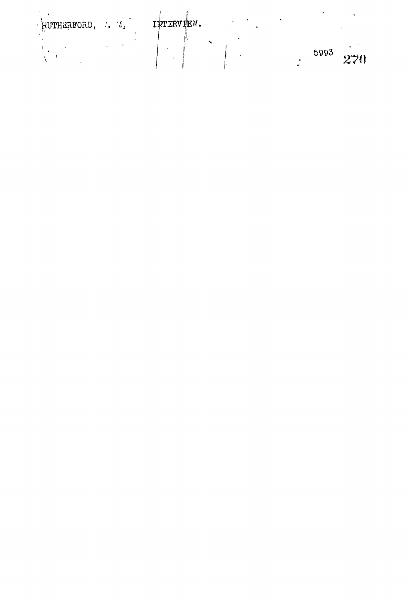| RUTHERFORD, |  | IWTERVIEW. |  |      |  |
|-------------|--|------------|--|------|--|
|             |  |            |  | 5993 |  |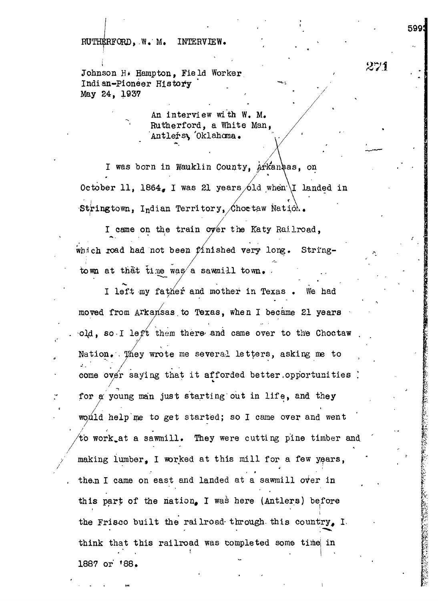$RUTHERFORM$ , W. M. INTERVIEW.

Johnson H. Hampton, Field Worker Indian-Pioneer History May 24, 1937

> An interview with W. M. Rutherford, a White Man, Antlers, Oklahoma.

599!

 $271$ 

*K:*

I was born in Wauklin County, Arkansas, on October 11, 1864, I was 21 years 6ld when I landed in Stringtown, Indian Territory, Choetaw Nation.

I came on the train over the Katy Railroad, which road had not been finished very long. Stringtown at that time was a sawmill town.

I left my father and mother in Texas. We had moved from Arkansas to Texas, when I became 21 years . 0J4, so-I left them there'and came over to th'e Choctaw Nation. They wrote me several letters, asking me to come over saying that it afforded better.opportunities ) for  $\alpha$  young man just starting out in life, and they would help me to get started; so I came over and went  $\sqrt{\text{to work}}$  at a sawmill. They were cutting pine timber and making lumber. I worked at this mill for a few years,  $\frac{1}{2}$  making lumber  $\frac{1}{2}$  and  $\frac{1}{2}$  and  $\frac{1}{2}$  and  $\frac{1}{2}$  for a few  $\frac{1}{2}$  for a few  $\frac{1}{2}$ **east and landed at a s** this napt of the nation I was hape (Antlens) before this bath of the nation, I was here (Whiters) perole **i** the Frisco built the railroad- through- this country, I. think that this railroad was completed some time in 1887 or 188,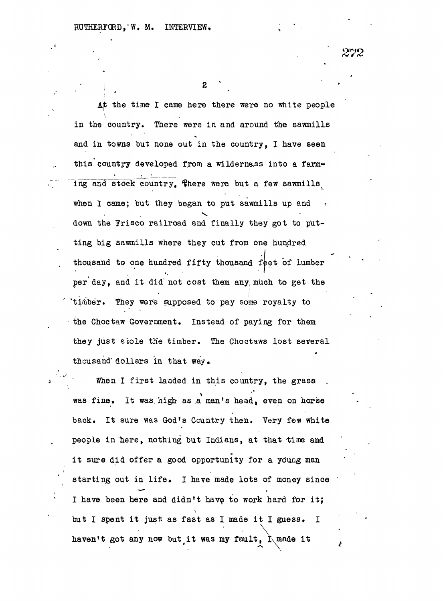2

At the time I came here there were no white people in the country. There were in and around the sawmills and in towns but none out in the country, I have seen this country developed from a wildernass into a farming and stock country. There were but a few sawmills when I came; but they began to put sawmills up and when  $\mathcal{L}_{\mathcal{A}}$  can be gain to put sawmills up and  $\mathcal{L}_{\mathcal{A}}$ ting big sawmills where they cut from one hundred thousand to one hundred fifty thousand feet of lumber per day, and it did not cost them any much to get the timber. They were supposed to pay some royalty to the Choctaw Government. Instead of paying for them they just stole the timber. The Choctaws lost several thousand dollars in that way.

When I first landed in this country, the grass was fine. It was high as a man's head, even on horse back. It sure was God's Country then. Very few white people in here, nothing but Indians, at that time and it sure did offer a good opportunity for a young man starting out in life. I have made lots of money since I have been here and didn't have to work hard for it; but I spent it just as fast as I made it I guess. I ' • \ haven't got any now but it was my fault,  $\Lambda$  made it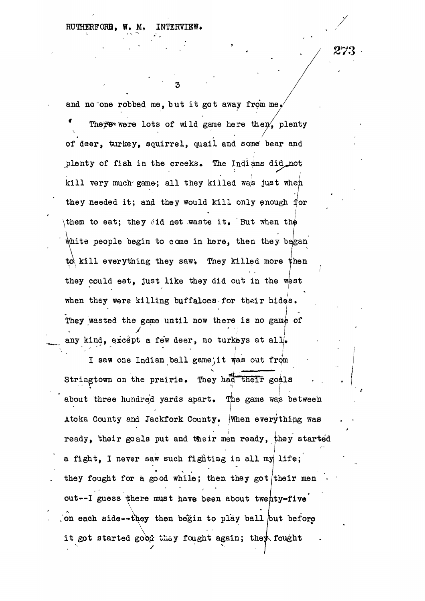RUTHERFORD, W. M. INTERVIEW.

and no one robbed me, but it got away from me.

3

There were lots of wild game here then, plenty of deer, turkey, squirrel, quail and some' bear and plenty of fish in the creeks. The Indians did not kill very much game; all they killed was just when kil l very much  $\mathcal{E}_{\mathcal{A}}$  and  $\mathcal{E}_{\mathcal{A}}$  is just when  $\mathcal{E}_{\mathcal{A}}$  is just when they needed it is the year of the year of the year of the year of they would kell l only enough for  $\mathcal{A}$  $\textcolor{red}{\bigwedge}$  the to eat; they obtain the waste it . But when this is . But when this is . But when this is a set of waste it . But when this is a set of waste it . But when this is a set of waste it . But when this is a which performs begin to come in the people begin to come in  $\mathbb{R}^n$ to kill everything they saw. They killed more then to killed more than  $\mathcal{L}_\mathcal{A}$  they killed more they killed more than  $\mathcal{L}_\mathcal{A}$ they could eat, just like they did out in the WBST like they did out in the WBST like they did out in the WBST **I** I They wasted the game until now there is no game of any kind, except a few deer, no turkeys at all.

I saw one Indian ball game; it was out from Stringtown on the prairie. They had their goals about three hundred yards apart. The game was between Atoka County and Jackfork County. When everything was ready, their goals put and their men ready, they started a fight, I never saw such fighting in all my life; they fought for a good while; then they got their men out--I guess there must have been about twenty-five on each side--they then begin to play ball but before *<i>\*  $\sqrt{2}$  + L  $\sqrt{2}$  + L  $\sqrt{2}$  + L  $\sqrt{2}$  + L  $\sqrt{2}$  + L  $\sqrt{2}$  + L  $\sqrt{2}$  + L  $\sqrt{2}$  + L  $\sqrt{2}$  + L  $\sqrt{2}$  + L  $\sqrt{2}$  + L  $\sqrt{2}$  + L  $\sqrt{2}$  + L  $\sqrt{2}$  + L  $\sqrt{2}$  + L  $\sqrt{2}$  + L  $\sqrt{2}$  + L  $\sqrt{2}$  + L it got started good they fought again; they fought

273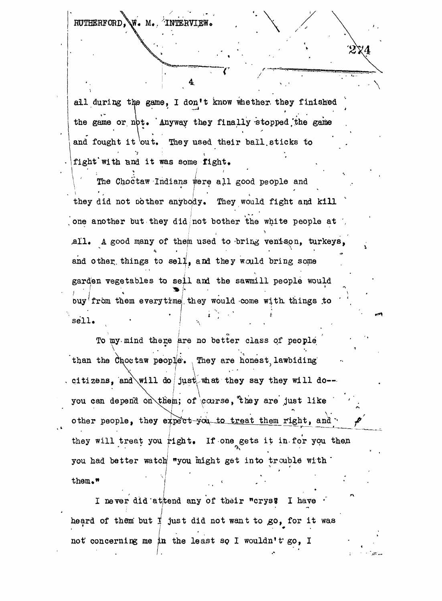RUTHERFORD, W. M. ^INTERVI

all during the game, I don't know whether they finished the game or not. Anyway they finally stopped the game and fought it out. They used their ball sticks to fight with and it was some fight.

**• ; \**

 $\ddot{ }$ 

**•**<br>• taw Tndians were all go The Chocker Indians were only people and they did not bother anybody. They would fight and kill  $\mathcal{L}_{\text{max}}$  did not  $\mathcal{L}_{\text{max}}$  would fight any  $\mathcal{L}_{\text{max}}$ one another but they did not bother the white people at all. A good many of them used to bring venison, turkeys, and other things to sell, and they would bring some garden vegetables to sell and the sawmill people would buy'from them everytime they would come with things to "'sell . ( • ' I ,' ' •" . /

To my mind there are no better class of people than the Choctaw people. They are honest lawbiding than the Chochamatic law people's law biding the Chochamatic law biding  $\mathcal{L}$ you can depend on them; of course, they are just like  $\mathcal{F} = \frac{1}{2} \mathcal{F} \left( \mathcal{F} \right)$  are just like are just like are just like are just like are just like other people, they expect-you to treat them right, and they will treat you right. If one gets it in for you then you had better watch "you might get into trouble with  $\blacksquare$ them,"

I never did at tend any of their "crys" I have heard of them but  $\sharp$  just did not want to go, for it was not concerning me in the least so I wouldn't go, I